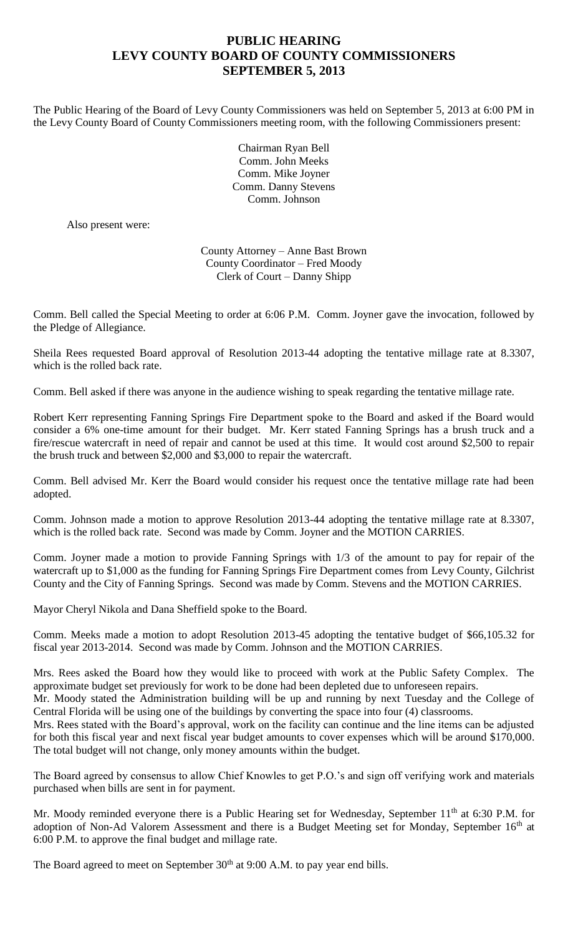## **PUBLIC HEARING LEVY COUNTY BOARD OF COUNTY COMMISSIONERS SEPTEMBER 5, 2013**

The Public Hearing of the Board of Levy County Commissioners was held on September 5, 2013 at 6:00 PM in the Levy County Board of County Commissioners meeting room, with the following Commissioners present:

> Chairman Ryan Bell Comm. John Meeks Comm. Mike Joyner Comm. Danny Stevens Comm. Johnson

Also present were:

County Attorney – Anne Bast Brown County Coordinator – Fred Moody Clerk of Court – Danny Shipp

Comm. Bell called the Special Meeting to order at 6:06 P.M. Comm. Joyner gave the invocation, followed by the Pledge of Allegiance.

Sheila Rees requested Board approval of Resolution 2013-44 adopting the tentative millage rate at 8.3307, which is the rolled back rate.

Comm. Bell asked if there was anyone in the audience wishing to speak regarding the tentative millage rate.

Robert Kerr representing Fanning Springs Fire Department spoke to the Board and asked if the Board would consider a 6% one-time amount for their budget. Mr. Kerr stated Fanning Springs has a brush truck and a fire/rescue watercraft in need of repair and cannot be used at this time. It would cost around \$2,500 to repair the brush truck and between \$2,000 and \$3,000 to repair the watercraft.

Comm. Bell advised Mr. Kerr the Board would consider his request once the tentative millage rate had been adopted.

Comm. Johnson made a motion to approve Resolution 2013-44 adopting the tentative millage rate at 8.3307, which is the rolled back rate. Second was made by Comm. Joyner and the MOTION CARRIES.

Comm. Joyner made a motion to provide Fanning Springs with 1/3 of the amount to pay for repair of the watercraft up to \$1,000 as the funding for Fanning Springs Fire Department comes from Levy County, Gilchrist County and the City of Fanning Springs. Second was made by Comm. Stevens and the MOTION CARRIES.

Mayor Cheryl Nikola and Dana Sheffield spoke to the Board.

Comm. Meeks made a motion to adopt Resolution 2013-45 adopting the tentative budget of \$66,105.32 for fiscal year 2013-2014. Second was made by Comm. Johnson and the MOTION CARRIES.

Mrs. Rees asked the Board how they would like to proceed with work at the Public Safety Complex. The approximate budget set previously for work to be done had been depleted due to unforeseen repairs.

Mr. Moody stated the Administration building will be up and running by next Tuesday and the College of Central Florida will be using one of the buildings by converting the space into four (4) classrooms.

Mrs. Rees stated with the Board's approval, work on the facility can continue and the line items can be adjusted for both this fiscal year and next fiscal year budget amounts to cover expenses which will be around \$170,000. The total budget will not change, only money amounts within the budget.

The Board agreed by consensus to allow Chief Knowles to get P.O.'s and sign off verifying work and materials purchased when bills are sent in for payment.

Mr. Moody reminded everyone there is a Public Hearing set for Wednesday, September 11<sup>th</sup> at 6:30 P.M. for adoption of Non-Ad Valorem Assessment and there is a Budget Meeting set for Monday, September 16<sup>th</sup> at 6:00 P.M. to approve the final budget and millage rate.

The Board agreed to meet on September  $30<sup>th</sup>$  at 9:00 A.M. to pay year end bills.